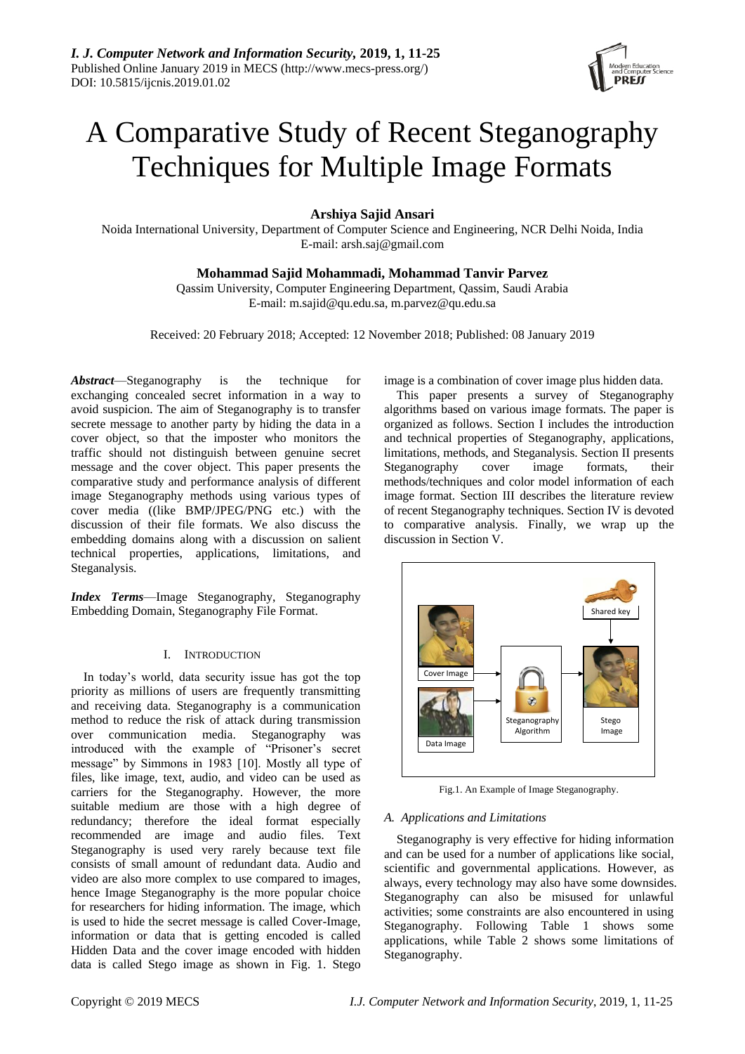

# A Comparative Study of Recent Steganography Techniques for Multiple Image Formats

**Arshiya Sajid Ansari**

Noida International University, Department of Computer Science and Engineering, NCR Delhi Noida, India E-mail: arsh.saj@gmail.com

# **Mohammad Sajid Mohammadi, Mohammad Tanvir Parvez**

Qassim University, Computer Engineering Department, Qassim, Saudi Arabia E-mail: m.sajid@qu.edu.sa, m.parvez@qu.edu.sa

Received: 20 February 2018; Accepted: 12 November 2018; Published: 08 January 2019

*Abstract*—Steganography is the technique for exchanging concealed secret information in a way to avoid suspicion. The aim of Steganography is to transfer secrete message to another party by hiding the data in a cover object, so that the imposter who monitors the traffic should not distinguish between genuine secret message and the cover object. This paper presents the comparative study and performance analysis of different image Steganography methods using various types of cover media ((like BMP/JPEG/PNG etc.) with the discussion of their file formats. We also discuss the embedding domains along with a discussion on salient technical properties, applications, limitations, and Steganalysis.

*Index Terms*—Image Steganography, Steganography Embedding Domain, Steganography File Format.

# I. INTRODUCTION

In today's world, data security issue has got the top priority as millions of users are frequently transmitting and receiving data. Steganography is a communication method to reduce the risk of attack during transmission over communication media. Steganography was introduced with the example of "Prisoner's secret message" by Simmons in 1983 [10]. Mostly all type of files, like image, text, audio, and video can be used as carriers for the Steganography. However, the more suitable medium are those with a high degree of redundancy; therefore the ideal format especially recommended are image and audio files. Text Steganography is used very rarely because text file consists of small amount of redundant data. Audio and video are also more complex to use compared to images, hence Image Steganography is the more popular choice for researchers for hiding information. The image, which is used to hide the secret message is called Cover-Image, information or data that is getting encoded is called Hidden Data and the cover image encoded with hidden data is called Stego image as shown in Fig. 1. Stego

image is a combination of cover image plus hidden data.

This paper presents a survey of Steganography algorithms based on various image formats. The paper is organized as follows. Section I includes the introduction and technical properties of Steganography, applications, limitations, methods, and Steganalysis. Section II presents Steganography cover image formats, their methods/techniques and color model information of each image format. Section III describes the literature review of recent Steganography techniques. Section IV is devoted to comparative analysis. Finally, we wrap up the discussion in Section V.



Fig.1. An Example of Image Steganography.

## *A. Applications and Limitations*

Steganography is very effective for hiding information and can be used for a number of applications like social, scientific and governmental applications. However, as always, every technology may also have some downsides. Steganography can also be misused for unlawful activities; some constraints are also encountered in using Steganography. Following Table 1 shows some applications, while Table 2 shows some limitations of Steganography.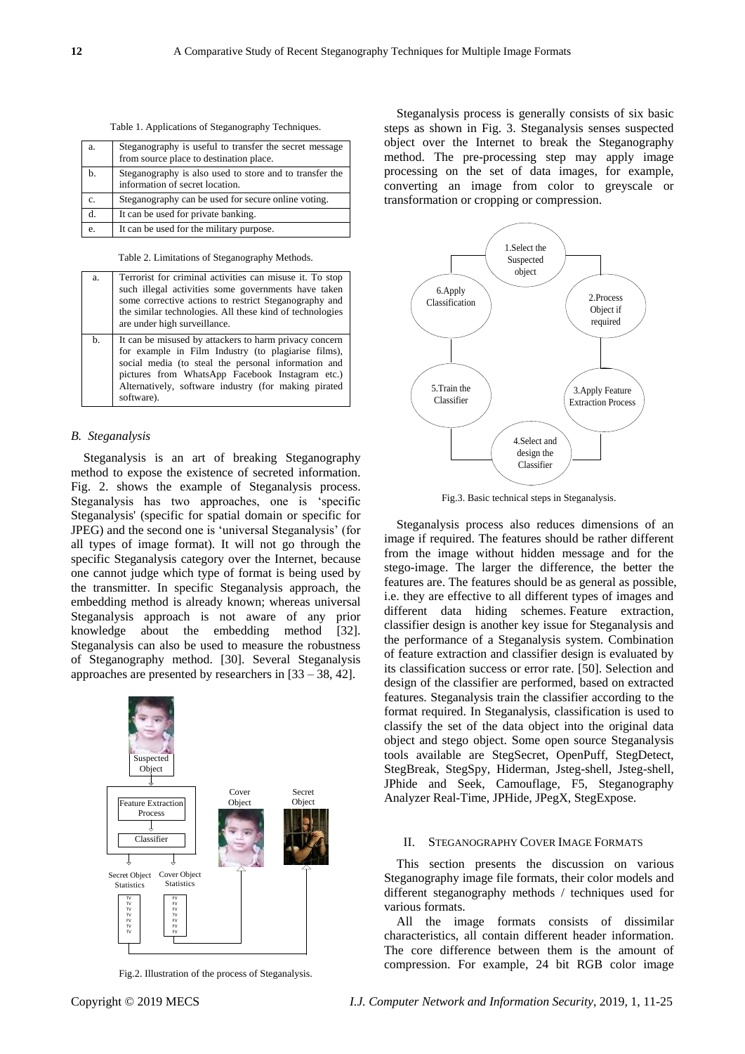Table 1. Applications of Steganography Techniques.

| a. | Steganography is useful to transfer the secret message<br>from source place to destination place. |
|----|---------------------------------------------------------------------------------------------------|
| h. | Steganography is also used to store and to transfer the<br>information of secret location.        |
| C. | Steganography can be used for secure online voting.                                               |
| d. | It can be used for private banking.                                                               |
| e. | It can be used for the military purpose.                                                          |

Table 2. Limitations of Steganography Methods.

| a. | Terrorist for criminal activities can misuse it. To stop<br>such illegal activities some governments have taken<br>some corrective actions to restrict Steganography and<br>the similar technologies. All these kind of technologies<br>are under high surveillance.                          |
|----|-----------------------------------------------------------------------------------------------------------------------------------------------------------------------------------------------------------------------------------------------------------------------------------------------|
| b. | It can be misused by attackers to harm privacy concern<br>for example in Film Industry (to plagiarise films),<br>social media (to steal the personal information and<br>pictures from WhatsApp Facebook Instagram etc.)<br>Alternatively, software industry (for making pirated<br>software). |

## *B. Steganalysis*

Steganalysis is an art of breaking Steganography method to expose the existence of secreted information. Fig. 2. shows the example of Steganalysis process. Steganalysis has two approaches, one is 'specific Steganalysis' (specific for spatial domain or specific for JPEG) and the second one is 'universal Steganalysis' (for all types of image format). It will not go through the specific Steganalysis category over the Internet, because one cannot judge which type of format is being used by the transmitter. In specific Steganalysis approach, the embedding method is already known; whereas universal Steganalysis approach is not aware of any prior knowledge about the embedding method [32]. Steganalysis can also be used to measure the robustness of Steganography method. [30]. Several Steganalysis approaches are presented by researchers in [33 – 38, 42].



Fig.2. Illustration of the process of Steganalysis.

features are. The features should be as general as possible, i.e. they are effective to all different types of images and different data hiding schemes. Feature extraction,

classifier design is another key issue for Steganalysis and the performance of a Steganalysis system. Combination of feature extraction and classifier design is evaluated by its classification success or error rate. [50]. Selection and design of the classifier are performed, based on extracted features. Steganalysis train the classifier according to the format required. In Steganalysis, classification is used to classify the set of the data object into the original data object and stego object. Some open source Steganalysis tools available are [StegSecret,](http://stegsecret.sourceforge.net/) OpenPuff, StegDetect, StegBreak, StegSpy, Hiderman, Jsteg-shell, Jsteg-shell, JPhide and Seek, Camouflage, F5, Steganography Analyzer Real-Time, JPHide, JPegX, StegExpose.

Fig.3. Basic technical steps in Steganalysis.

Steganalysis process also reduces dimensions of an image if required. The features should be rather different from the image without hidden message and for the stego-image. The larger the difference, the better the

4.Select and design the Classifier

Steganalysis process is generally consists of six basic steps as shown in Fig. 3. Steganalysis senses suspected object over the Internet to break the Steganography method. The pre-processing step may apply image processing on the set of data images, for example, converting an image from color to greyscale or

> 1.Select the Suspected object

> > 2.Process Object if required

3.Apply Feature Extraction Process

transformation or cropping or compression.

5.Train the Classifier

6.Apply Classification

#### II. STEGANOGRAPHY COVER IMAGE FORMATS

This section presents the discussion on various Steganography image file formats, their color models and different steganography methods / techniques used for various formats.

All the image formats consists of dissimilar characteristics, all contain different header information. The core difference between them is the amount of compression. For example, 24 bit RGB color image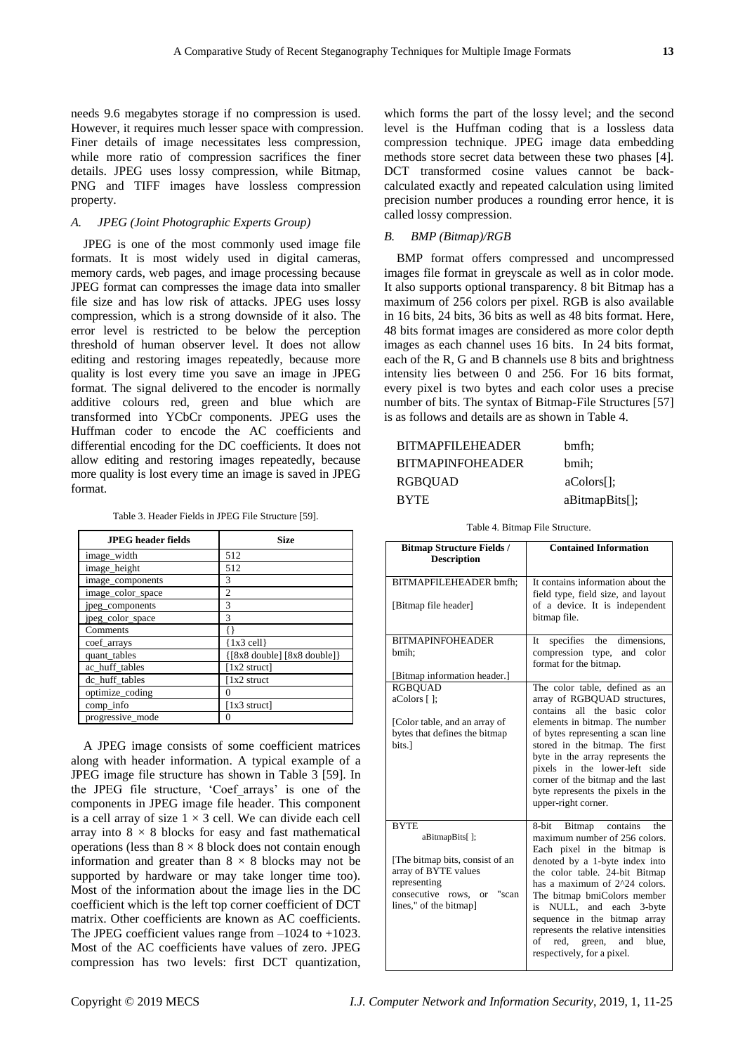needs 9.6 megabytes storage if no compression is used. However, it requires much lesser space with compression. Finer details of image necessitates less compression, while more ratio of compression sacrifices the finer details. JPEG uses lossy compression, while Bitmap, PNG and TIFF images have lossless compression property.

## *A. JPEG (Joint Photographic Experts Group)*

JPEG is one of the most commonly used image file formats. It is most widely used in digital cameras, memory cards, web pages, and image processing because JPEG format can compresses the image data into smaller file size and has low risk of attacks. JPEG uses lossy compression, which is a strong downside of it also. The error level is restricted to be below the perception threshold of human observer level. It does not allow editing and restoring images repeatedly, because more quality is lost every time you save an image in JPEG format. The signal delivered to the encoder is normally additive colours red, green and blue which are transformed into YCbCr components. JPEG uses the Huffman coder to encode the AC coefficients and differential encoding for the DC coefficients. It does not allow editing and restoring images repeatedly, because more quality is lost every time an image is saved in JPEG format.

Table 3. Header Fields in JPEG File Structure [59].

| <b>JPEG</b> header fields | Size                           |
|---------------------------|--------------------------------|
| image_width               | 512                            |
| image_height              | 512                            |
| image_components          | 3                              |
| image_color_space         | $\overline{c}$                 |
| jpeg_components           | 3                              |
| jpeg_color_space          | 3                              |
| Comments                  |                                |
| coef_arrays               | $\{1x3 \text{ cell}\}$         |
| quant_tables              | ${ [8x8 double] [8x8 double]}$ |
| ac huff tables            | [1x2 struct]                   |
| dc_huff_tables            | 1x2 struct                     |
| optimize_coding           | 0                              |
| comp_info                 | [1x3 struct]                   |
| progressive_mode          |                                |

A JPEG image consists of some coefficient matrices along with header information. A typical example of a JPEG image file structure has shown in Table 3 [59]. In the JPEG file structure, 'Coef\_arrays' is one of the components in JPEG image file header. This component is a cell array of size  $1 \times 3$  cell. We can divide each cell array into  $8 \times 8$  blocks for easy and fast mathematical operations (less than  $8 \times 8$  block does not contain enough information and greater than  $8 \times 8$  blocks may not be supported by hardware or may take longer time too). Most of the information about the image lies in the DC coefficient which is the left top corner coefficient of DCT matrix. Other coefficients are known as AC coefficients. The JPEG coefficient values range from –1024 to +1023. Most of the AC coefficients have values of zero. JPEG compression has two levels: first DCT quantization,

which forms the part of the lossy level; and the second level is the Huffman coding that is a lossless data compression technique. JPEG image data embedding methods store secret data between these two phases [4]. DCT transformed cosine values cannot be backcalculated exactly and repeated calculation using limited precision number produces a rounding error hence, it is called lossy compression.

### *B. BMP (Bitmap)/RGB*

BMP format offers compressed and uncompressed images file format in [greyscale](http://whatis.techtarget.com/definition/0,,sid9_gci1169848,00.html) as well as in color mode. It also supports optional transparency. 8 bit Bitmap has a maximum of 256 colors per pixel. RGB is also available in 16 bits, 24 bits, 36 bits as well as 48 bits format. Here, 48 bits format images are considered as more color depth images as each channel uses 16 bits. In 24 bits format, each of the R, G and B channels use 8 bits and brightness intensity lies between 0 and 256. For 16 bits format, every pixel is two bytes and each color uses a precise number of bits. The syntax of Bitmap-File Structures [57] is as follows and details are as shown in Table 4.

| BITMAPFILEHEADER        | bmfh:           |
|-------------------------|-----------------|
| <b>BITMAPINFOHEADER</b> | bmih;           |
| RGBOUAD                 | $aColors$ :     |
| <b>BYTE</b>             | $aBitmapBits$ : |

| <b>Bitmap Structure Fields /</b><br><b>Description</b>                                                                                                                    | <b>Contained Information</b>                                                                                                                                                                                                                                                                                                                                                                                             |
|---------------------------------------------------------------------------------------------------------------------------------------------------------------------------|--------------------------------------------------------------------------------------------------------------------------------------------------------------------------------------------------------------------------------------------------------------------------------------------------------------------------------------------------------------------------------------------------------------------------|
| BITMAPFILEHEADER bmfh;<br>[Bitmap file header]                                                                                                                            | It contains information about the<br>field type, field size, and layout<br>of a device. It is independent<br>bitmap file.                                                                                                                                                                                                                                                                                                |
| <b>BITMAPINFOHEADER</b><br>bmih;<br>[Bitmap information header.]                                                                                                          | specifies the<br>dimensions,<br>It<br>compression<br>type, and<br>color<br>format for the bitmap.                                                                                                                                                                                                                                                                                                                        |
| <b>RGBQUAD</b><br>aColors [];<br>[Color table, and an array of<br>bytes that defines the bitmap<br>bits.1                                                                 | The color table, defined as an<br>array of RGBQUAD structures,<br>the basic<br>contains<br>all<br>color<br>elements in bitmap. The number<br>of bytes representing a scan line<br>stored in the bitmap. The first<br>byte in the array represents the<br>pixels in the lower-left side<br>corner of the bitmap and the last<br>byte represents the pixels in the<br>upper-right corner.                                  |
| <b>BYTE</b><br>aBitmapBits[];<br>[The bitmap bits, consist of an<br>array of BYTE values<br>representing<br>consecutive<br>"scan<br>rows.<br>or<br>lines," of the bitmap] | contains<br>8-bit<br>Bitmap<br>the<br>maximum number of 256 colors.<br>Each pixel in the bitmap is<br>denoted by a 1-byte index into<br>the color table. 24-bit Bitmap<br>has a maximum of 2^24 colors.<br>The bitmap bmiColors member<br>NULL,<br>and each<br>3-byte<br>is<br>sequence in the bitmap array<br>represents the relative intensities<br>of<br>red.<br>blue,<br>green,<br>and<br>respectively, for a pixel. |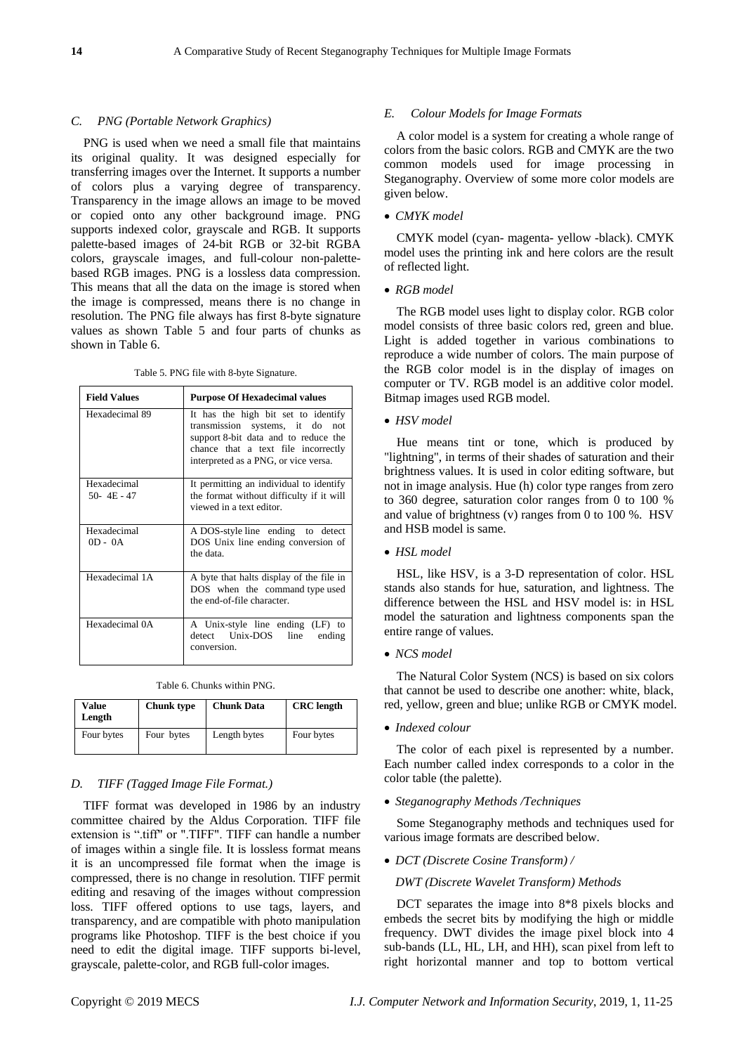#### *C. PNG (Portable Network Graphics)*

PNG is used when we need a small file that maintains its original quality. It was designed especially for transferring images over the Internet. It supports a number of colors plus a varying degree of transparency. Transparency in the image allows an image to be moved or copied onto any other background image. PNG supports indexed color, grayscale and RGB. It supports palette-based images of 24-bit RGB or 32-bit RGBA colors, grayscale images, and full-colour non-palettebased RGB images. PNG is a lossless data compression. This means that all the data on the image is stored when the image is compressed, means there is no change in resolution. The PNG file always has first 8-byte signature values as shown Table 5 and four parts of chunks as shown in Table 6.

Table 5. PNG file with 8-byte Signature.

| <b>Field Values</b>           | <b>Purpose Of Hexadecimal values</b>                                                                                                                                                             |
|-------------------------------|--------------------------------------------------------------------------------------------------------------------------------------------------------------------------------------------------|
| Hexadecimal 89                | It has the high bit set to identify<br>transmission systems, it do<br>not<br>support 8-bit data and to reduce the<br>chance that a text file incorrectly<br>interpreted as a PNG, or vice versa. |
| Hexadecimal<br>$50 - 4E - 47$ | It permitting an individual to identify<br>the format without difficulty if it will<br>viewed in a text editor.                                                                                  |
| Hexadecimal<br>$OD - OA$      | A DOS-style line ending to detect<br>DOS Unix line ending conversion of<br>the data.                                                                                                             |
| Hexadecimal 1A                | A byte that halts display of the file in<br>DOS when the command type used<br>the end-of-file character.                                                                                         |
| Hexadecimal 0A                | A Unix-style line ending (LF) to<br>detect Unix-DOS<br>line<br>ending<br>conversion.                                                                                                             |

Table 6. Chunks within PNG.

| Value<br>Length | <b>Chunk</b> type | <b>Chunk Data</b> | <b>CRC</b> length |
|-----------------|-------------------|-------------------|-------------------|
| Four bytes      | Four bytes        | Length bytes      | Four bytes        |

## *D. TIFF (Tagged Image File Format.)*

TIFF format was developed in 1986 by an industry committee chaired by the Aldus Corporation. TIFF file extension is ".tiff" or ".TIFF". TIFF can handle a number of images within a single file. It is lossless format means it is an uncompressed file format when the image is compressed, there is no change in resolution. TIFF permit editing and resaving of the images without compression loss. TIFF offered options to use tags, layers, and transparency, and are compatible with photo manipulation programs like Photoshop. TIFF is the best choice if you need to edit the digital image. TIFF supports bi-level, grayscale, palette-color, and RGB full-color images.

#### *E. Colour Models for Image Formats*

A color model is a system for creating a whole range of colors from the basic colors. RGB and CMYK are the two common models used for image processing in Steganography. Overview of some more color models are given below.

#### *CMYK model*

CMYK model (cyan- magenta- yellow -black). CMYK model uses the printing ink and here colors are the result of reflected light.

#### *RGB model*

The RGB model uses light to display color. RGB color model consists of three basic colors red, green and blue. Light is added together in various combinations to reproduce a wide number of colors. The main purpose of the RGB color model is in the display of images on computer or TV. RGB model is an additive color model. Bitmap images used RGB model.

#### *HSV model*

Hue means tint or tone, which is produced by "lightning", in terms of their shades of saturation and their brightness values. It is used in color editing software, but not in image analysis. Hue (h) color type ranges from zero to 360 degree, saturation color ranges from 0 to 100 % and value of brightness (v) ranges from 0 to 100 %. HSV and HSB model is same.

#### *HSL model*

HSL, like HSV, is a 3-D representation of color. HSL stands also stands for hue, saturation, and lightness. The difference between the HSL and HSV model is: in HSL model the saturation and lightness components span the entire range of values.

*NCS model*

The Natural Color System (NCS) is based on six colors that cannot be used to describe one another: white, black, red, yellow, green and blue; unlike RGB or CMYK model.

*Indexed colour*

The color of each pixel is represented by a number. Each number called index corresponds to a color in the color table (the palette).

*Steganography Methods /Techniques*

Some Steganography methods and techniques used for various image formats are described below.

*DCT (Discrete Cosine Transform) /*

*DWT (Discrete Wavelet Transform) Methods*

DCT separates the image into 8\*8 pixels blocks and embeds the secret bits by modifying the high or middle frequency. DWT divides the image pixel block into 4 sub-bands (LL, HL, LH, and HH), scan pixel from left to right horizontal manner and top to bottom vertical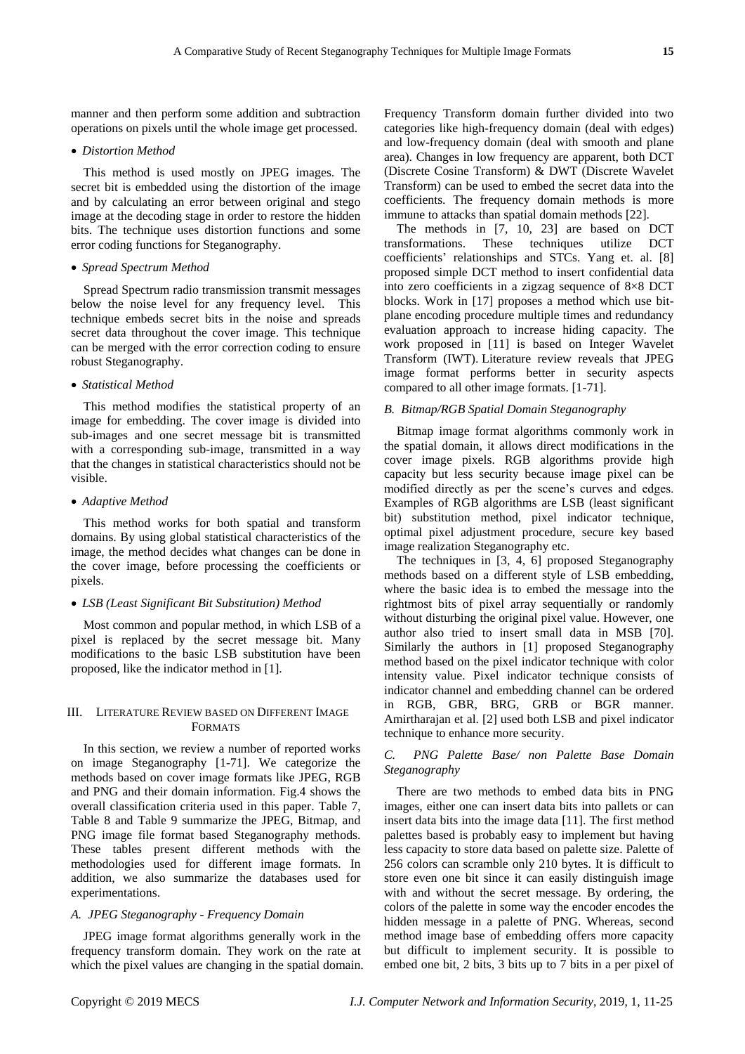manner and then perform some addition and subtraction operations on pixels until the whole image get processed.

### *Distortion Method*

This method is used mostly on JPEG images. The secret bit is embedded using the distortion of the image and by calculating an error between original and stego image at the decoding stage in order to restore the hidden bits. The technique uses distortion functions and some error coding functions for Steganography.

#### *Spread Spectrum Method*

Spread Spectrum radio transmission transmit messages below the noise level for any frequency level. This technique embeds secret bits in the noise and spreads secret data throughout the cover image. This technique can be merged with the error correction coding to ensure robust Steganography.

### *Statistical Method*

This method modifies the statistical property of an image for embedding. The cover image is divided into sub-images and one secret message bit is transmitted with a corresponding sub-image, transmitted in a way that the changes in statistical characteristics should not be visible.

## *Adaptive Method*

This method works for both spatial and transform domains. By using global statistical characteristics of the image, the method decides what changes can be done in the cover image, before processing the coefficients or pixels.

#### *LSB (Least Significant Bit Substitution) Method*

Most common and popular method, in which LSB of a pixel is replaced by the secret message bit. Many modifications to the basic LSB substitution have been proposed, like the indicator method in [1].

### III. LITERATURE REVIEW BASED ON DIFFERENT IMAGE FORMATS

In this section, we review a number of reported works on image Steganography [1-71]. We categorize the methods based on cover image formats like JPEG, RGB and PNG and their domain information. Fig.4 shows the overall classification criteria used in this paper. Table 7, Table 8 and Table 9 summarize the JPEG, Bitmap, and PNG image file format based Steganography methods. These tables present different methods with the methodologies used for different image formats. In addition, we also summarize the databases used for experimentations.

## *A. JPEG Steganography - Frequency Domain*

JPEG image format algorithms generally work in the frequency transform domain. They work on the rate at which the pixel values are changing in the spatial domain. Frequency Transform domain further divided into two categories like high-frequency domain (deal with edges) and low-frequency domain (deal with smooth and plane area). Changes in low frequency are apparent, both DCT (Discrete Cosine Transform) & DWT (Discrete Wavelet Transform) can be used to embed the secret data into the coefficients. The frequency domain methods is more immune to attacks than spatial domain methods [22].

The methods in [7, 10, 23] are based on DCT transformations. These techniques utilize DCT coefficients' relationships and STCs. Yang et. al. [8] proposed simple DCT method to insert confidential data into zero coefficients in a zigzag sequence of 8×8 DCT blocks. Work in [17] proposes a method which use bitplane encoding procedure multiple times and redundancy evaluation approach to increase hiding capacity. The work proposed in [11] is based on Integer Wavelet Transform (IWT). Literature review reveals that JPEG image format performs better in security aspects compared to all other image formats. [1-71].

## *B. Bitmap/RGB Spatial Domain Steganography*

Bitmap image format algorithms commonly work in the spatial domain, it allows direct modifications in the cover image pixels. RGB algorithms provide high capacity but less security because image pixel can be modified directly as per the scene's curves and edges. Examples of RGB algorithms are LSB (least significant bit) substitution method, pixel indicator technique, optimal pixel adjustment procedure, secure key based image realization Steganography etc.

The techniques in [3, 4, 6] proposed Steganography methods based on a different style of LSB embedding, where the basic idea is to embed the message into the rightmost bits of pixel array sequentially or randomly without disturbing the original pixel value. However, one author also tried to insert small data in MSB [70]. Similarly the authors in [1] proposed Steganography method based on the pixel indicator technique with color intensity value. Pixel indicator technique consists of indicator channel and embedding channel can be ordered in RGB, GBR, BRG, GRB or BGR manner. Amirtharajan et al. [2] used both LSB and pixel indicator technique to enhance more security.

## *C. PNG Palette Base/ non Palette Base Domain Steganography*

There are two methods to embed data bits in PNG images, either one can insert data bits into pallets or can insert data bits into the image data [11]. The first method palettes based is probably easy to implement but having less capacity to store data based on palette size. Palette of 256 colors can scramble only 210 bytes. It is difficult to store even one bit since it can easily distinguish image with and without the secret message. By ordering, the colors of the palette in some way the encoder encodes the hidden message in a palette of PNG. Whereas, second method image base of embedding offers more capacity but difficult to implement security. It is possible to embed one bit, 2 bits, 3 bits up to 7 bits in a per pixel of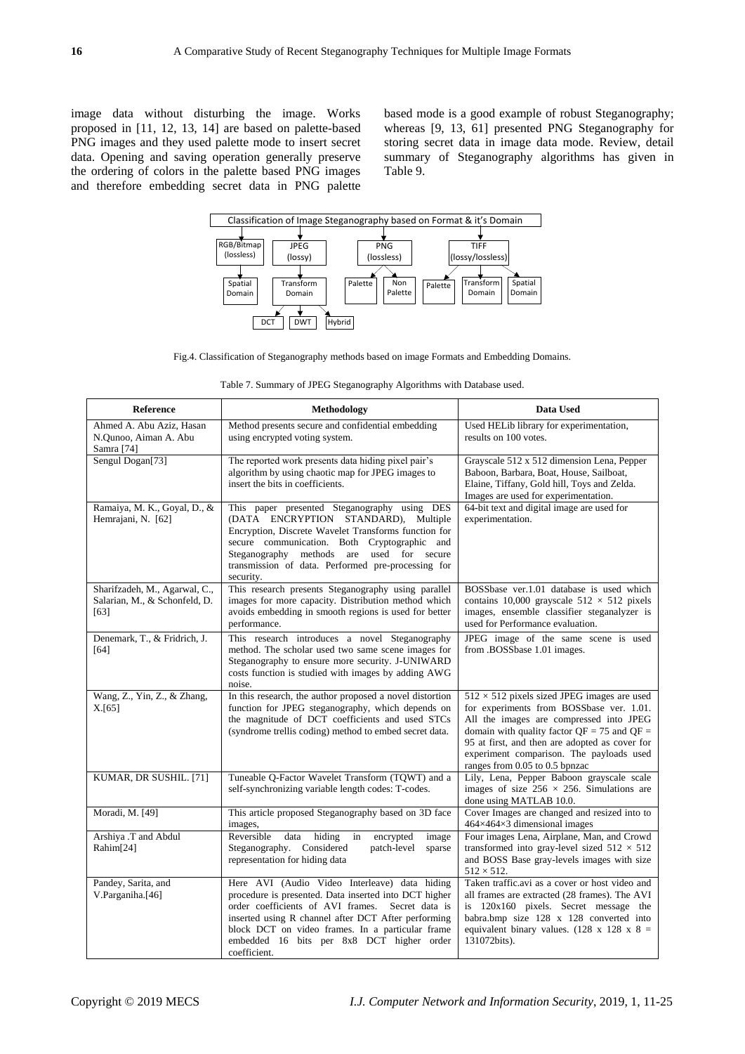image data without disturbing the image. Works proposed in [11, 12, 13, 14] are based on palette-based PNG images and they used palette mode to insert secret data. Opening and saving operation generally preserve the ordering of colors in the palette based PNG images and therefore embedding secret data in PNG palette

based mode is a good example of robust Steganography; whereas [9, 13, 61] presented PNG Steganography for storing secret data in image data mode. Review, detail summary of Steganography algorithms has given in Table 9.



Fig.4. Classification of Steganography methods based on image Formats and Embedding Domains.

| Table 7. Summary of JPEG Steganography Algorithms with Database used. |  |
|-----------------------------------------------------------------------|--|
|-----------------------------------------------------------------------|--|

| Reference                                                              | Methodology                                                                                                                                                                                                                                                                                                                           | Data Used                                                                                                                                                                                                                                                                                                                    |
|------------------------------------------------------------------------|---------------------------------------------------------------------------------------------------------------------------------------------------------------------------------------------------------------------------------------------------------------------------------------------------------------------------------------|------------------------------------------------------------------------------------------------------------------------------------------------------------------------------------------------------------------------------------------------------------------------------------------------------------------------------|
| Ahmed A. Abu Aziz, Hasan<br>N.Qunoo, Aiman A. Abu<br>Samra [74]        | Method presents secure and confidential embedding<br>using encrypted voting system.                                                                                                                                                                                                                                                   | Used HELib library for experimentation,<br>results on 100 votes.                                                                                                                                                                                                                                                             |
| Sengul Dogan[73]                                                       | The reported work presents data hiding pixel pair's<br>algorithm by using chaotic map for JPEG images to<br>insert the bits in coefficients.                                                                                                                                                                                          | Grayscale 512 x 512 dimension Lena, Pepper<br>Baboon, Barbara, Boat, House, Sailboat,<br>Elaine, Tiffany, Gold hill, Toys and Zelda.<br>Images are used for experimentation.                                                                                                                                                 |
| Ramaiya, M. K., Goyal, D., &<br>Hemrajani, N. [62]                     | This paper presented Steganography using DES<br>(DATA ENCRYPTION STANDARD), Multiple<br>Encryption, Discrete Wavelet Transforms function for<br>secure communication. Both Cryptographic and<br>Steganography methods<br>are used for secure<br>transmission of data. Performed pre-processing for<br>security.                       | 64-bit text and digital image are used for<br>experimentation.                                                                                                                                                                                                                                                               |
| Sharifzadeh, M., Agarwal, C.,<br>Salarian, M., & Schonfeld, D.<br>[63] | This research presents Steganography using parallel<br>images for more capacity. Distribution method which<br>avoids embedding in smooth regions is used for better<br>performance.                                                                                                                                                   | BOSSbase ver.1.01 database is used which<br>contains 10,000 grayscale $512 \times 512$ pixels<br>images, ensemble classifier steganalyzer is<br>used for Performance evaluation.                                                                                                                                             |
| Denemark, T., & Fridrich, J.<br>[64]                                   | This research introduces a novel Steganography<br>method. The scholar used two same scene images for<br>Steganography to ensure more security. J-UNIWARD<br>costs function is studied with images by adding AWG<br>noise.                                                                                                             | JPEG image of the same scene is used<br>from .BOSSbase 1.01 images.                                                                                                                                                                                                                                                          |
| Wang, Z., Yin, Z., & Zhang,<br>X.[65]                                  | In this research, the author proposed a novel distortion<br>function for JPEG steganography, which depends on<br>the magnitude of DCT coefficients and used STCs<br>(syndrome trellis coding) method to embed secret data.                                                                                                            | $512 \times 512$ pixels sized JPEG images are used<br>for experiments from BOSSbase ver. 1.01.<br>All the images are compressed into JPEG<br>domain with quality factor $QF = 75$ and $QF =$<br>95 at first, and then are adopted as cover for<br>experiment comparison. The payloads used<br>ranges from 0.05 to 0.5 bpnzac |
| KUMAR, DR SUSHIL. [71]                                                 | Tuneable Q-Factor Wavelet Transform (TQWT) and a<br>self-synchronizing variable length codes: T-codes.                                                                                                                                                                                                                                | Lily, Lena, Pepper Baboon grayscale scale<br>images of size $256 \times 256$ . Simulations are<br>done using MATLAB 10.0.                                                                                                                                                                                                    |
| Moradi, M. [49]                                                        | This article proposed Steganography based on 3D face<br>images,                                                                                                                                                                                                                                                                       | Cover Images are changed and resized into to<br>$464 \times 464 \times 3$ dimensional images                                                                                                                                                                                                                                 |
| Arshiya .T and Abdul<br>Rahim[24]                                      | Reversible<br>data<br>hiding<br>encrypted<br>image<br>in<br>Considered<br>Steganography.<br>patch-level<br>sparse<br>representation for hiding data                                                                                                                                                                                   | Four images Lena, Airplane, Man, and Crowd<br>transformed into gray-level sized $512 \times 512$<br>and BOSS Base gray-levels images with size<br>$512 \times 512$ .                                                                                                                                                         |
| Pandey, Sarita, and<br>V.Parganiha.[46]                                | Here AVI (Audio Video Interleave) data hiding<br>procedure is presented. Data inserted into DCT higher<br>order coefficients of AVI frames.<br>Secret data is<br>inserted using R channel after DCT After performing<br>block DCT on video frames. In a particular frame<br>embedded 16 bits per 8x8 DCT higher order<br>coefficient. | Taken traffic.avi as a cover or host video and<br>all frames are extracted (28 frames). The AVI<br>is 120x160 pixels. Secret message the<br>babra.bmp size 128 x 128 converted into<br>equivalent binary values. $(128 \times 128 \times 8)$<br>131072bits).                                                                 |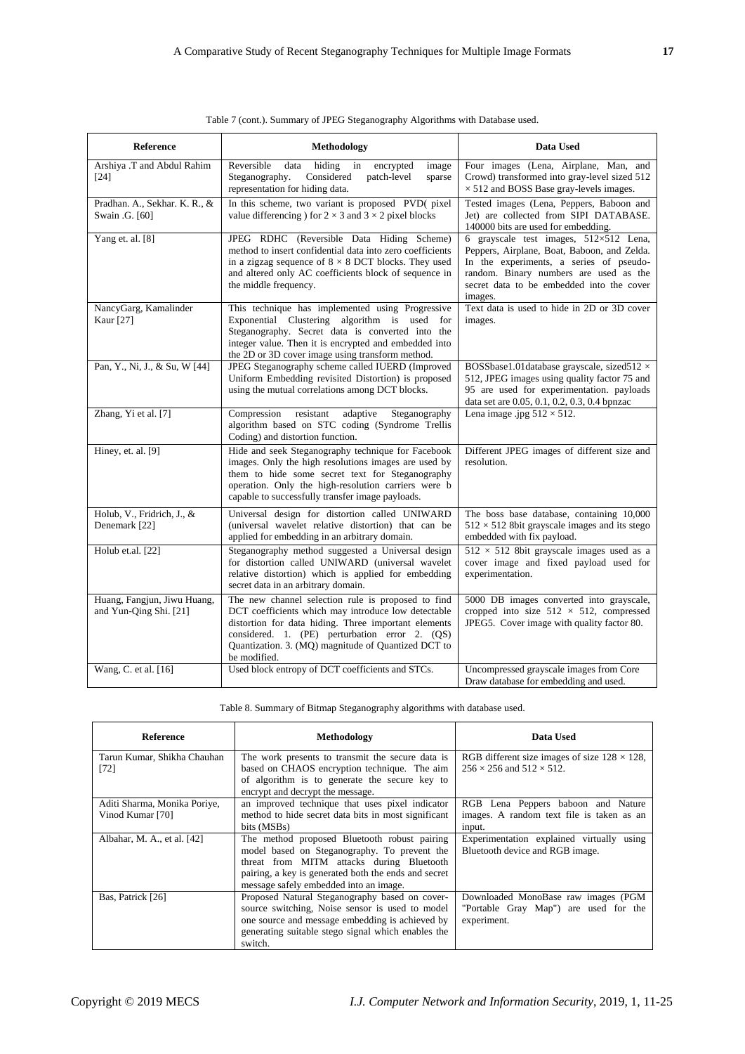| Reference                                             | <b>Methodology</b>                                                                                                                                                                                                                                                                         | Data Used                                                                                                                                                                                                                                   |
|-------------------------------------------------------|--------------------------------------------------------------------------------------------------------------------------------------------------------------------------------------------------------------------------------------------------------------------------------------------|---------------------------------------------------------------------------------------------------------------------------------------------------------------------------------------------------------------------------------------------|
| Arshiya .T and Abdul Rahim<br>$[24]$                  | Reversible<br>data<br>hiding<br>encrypted<br>in<br>image<br>Steganography.<br>Considered<br>patch-level<br>sparse<br>representation for hiding data.                                                                                                                                       | Four images (Lena, Airplane, Man, and<br>Crowd) transformed into gray-level sized 512<br>$\times$ 512 and BOSS Base gray-levels images.                                                                                                     |
| Pradhan. A., Sekhar. K. R., &<br>Swain .G. [60]       | In this scheme, two variant is proposed PVD(pixel)<br>value differencing ) for $2 \times 3$ and $3 \times 2$ pixel blocks                                                                                                                                                                  | Tested images (Lena, Peppers, Baboon and<br>Jet) are collected from SIPI DATABASE.<br>140000 bits are used for embedding.                                                                                                                   |
| Yang et. al. [8]                                      | JPEG RDHC (Reversible Data Hiding Scheme)<br>method to insert confidential data into zero coefficients<br>in a zigzag sequence of $8 \times 8$ DCT blocks. They used<br>and altered only AC coefficients block of sequence in<br>the middle frequency.                                     | 6 grayscale test images, $512 \times 512$ Lena,<br>Peppers, Airplane, Boat, Baboon, and Zelda.<br>In the experiments, a series of pseudo-<br>random. Binary numbers are used as the<br>secret data to be embedded into the cover<br>images. |
| NancyGarg, Kamalinder<br>Kaur [27]                    | This technique has implemented using Progressive<br>Exponential Clustering algorithm is used for<br>Steganography. Secret data is converted into the<br>integer value. Then it is encrypted and embedded into<br>the 2D or 3D cover image using transform method.                          | Text data is used to hide in 2D or 3D cover<br>images.                                                                                                                                                                                      |
| Pan, Y., Ni, J., & Su, W [44]                         | JPEG Steganography scheme called IUERD (Improved<br>Uniform Embedding revisited Distortion) is proposed<br>using the mutual correlations among DCT blocks.                                                                                                                                 | BOSSbase1.01database grayscale, sized512 ×<br>512, JPEG images using quality factor 75 and<br>95 are used for experimentation. payloads<br>data set are 0.05, 0.1, 0.2, 0.3, 0.4 bpnzac                                                     |
| Zhang, Yi et al. [7]                                  | Compression<br>resistant<br>adaptive<br>Steganography<br>algorithm based on STC coding (Syndrome Trellis<br>Coding) and distortion function.                                                                                                                                               | Lena image .jpg $512 \times 512$ .                                                                                                                                                                                                          |
| Hiney, et. al. [9]                                    | Hide and seek Steganography technique for Facebook<br>images. Only the high resolutions images are used by<br>them to hide some secret text for Steganography<br>operation. Only the high-resolution carriers were b<br>capable to successfully transfer image payloads.                   | Different JPEG images of different size and<br>resolution.                                                                                                                                                                                  |
| Holub, V., Fridrich, J., &<br>Denemark [22]           | Universal design for distortion called UNIWARD<br>(universal wavelet relative distortion) that can be<br>applied for embedding in an arbitrary domain.                                                                                                                                     | The boss base database, containing 10,000<br>$512 \times 512$ 8bit grayscale images and its stego<br>embedded with fix payload.                                                                                                             |
| Holub et.al. [22]                                     | Steganography method suggested a Universal design<br>for distortion called UNIWARD (universal wavelet<br>relative distortion) which is applied for embedding<br>secret data in an arbitrary domain.                                                                                        | $512 \times 512$ 8bit grayscale images used as a<br>cover image and fixed payload used for<br>experimentation.                                                                                                                              |
| Huang, Fangjun, Jiwu Huang,<br>and Yun-Qing Shi. [21] | The new channel selection rule is proposed to find<br>DCT coefficients which may introduce low detectable<br>distortion for data hiding. Three important elements<br>considered. 1. (PE) perturbation error 2. (QS)<br>Quantization. 3. (MQ) magnitude of Quantized DCT to<br>be modified. | 5000 DB images converted into grayscale,<br>cropped into size $512 \times 512$ , compressed<br>JPEG5. Cover image with quality factor 80.                                                                                                   |
| Wang, C. et al. [16]                                  | Used block entropy of DCT coefficients and STCs.                                                                                                                                                                                                                                           | Uncompressed grayscale images from Core<br>Draw database for embedding and used.                                                                                                                                                            |

| Table 7 (cont.). Summary of JPEG Steganography Algorithms with Database used. |
|-------------------------------------------------------------------------------|
|                                                                               |

Table 8. Summary of Bitmap Steganography algorithms with database used.

| <b>Reference</b>                                 | Methodology                                                                                                                                                                                                                                 | Data Used                                                                                       |
|--------------------------------------------------|---------------------------------------------------------------------------------------------------------------------------------------------------------------------------------------------------------------------------------------------|-------------------------------------------------------------------------------------------------|
| Tarun Kumar, Shikha Chauhan<br>[72]              | The work presents to transmit the secure data is<br>based on CHAOS encryption technique. The aim<br>of algorithm is to generate the secure key to<br>encrypt and decrypt the message.                                                       | RGB different size images of size $128 \times 128$ ,<br>$256 \times 256$ and $512 \times 512$ . |
| Aditi Sharma, Monika Poriye,<br>Vinod Kumar [70] | an improved technique that uses pixel indicator<br>method to hide secret data bits in most significant<br>bits (MSBs)                                                                                                                       | RGB Lena Peppers baboon and Nature<br>images. A random text file is taken as an<br>input.       |
| Albahar, M. A., et al. [42]                      | The method proposed Bluetooth robust pairing<br>model based on Steganography. To prevent the<br>threat from MITM attacks during Bluetooth<br>pairing, a key is generated both the ends and secret<br>message safely embedded into an image. | Experimentation explained virtually using<br>Bluetooth device and RGB image.                    |
| Bas, Patrick [26]                                | Proposed Natural Steganography based on cover-<br>source switching, Noise sensor is used to model<br>one source and message embedding is achieved by<br>generating suitable stego signal which enables the<br>switch.                       | Downloaded MonoBase raw images (PGM<br>"Portable Gray Map") are used for the<br>experiment.     |

I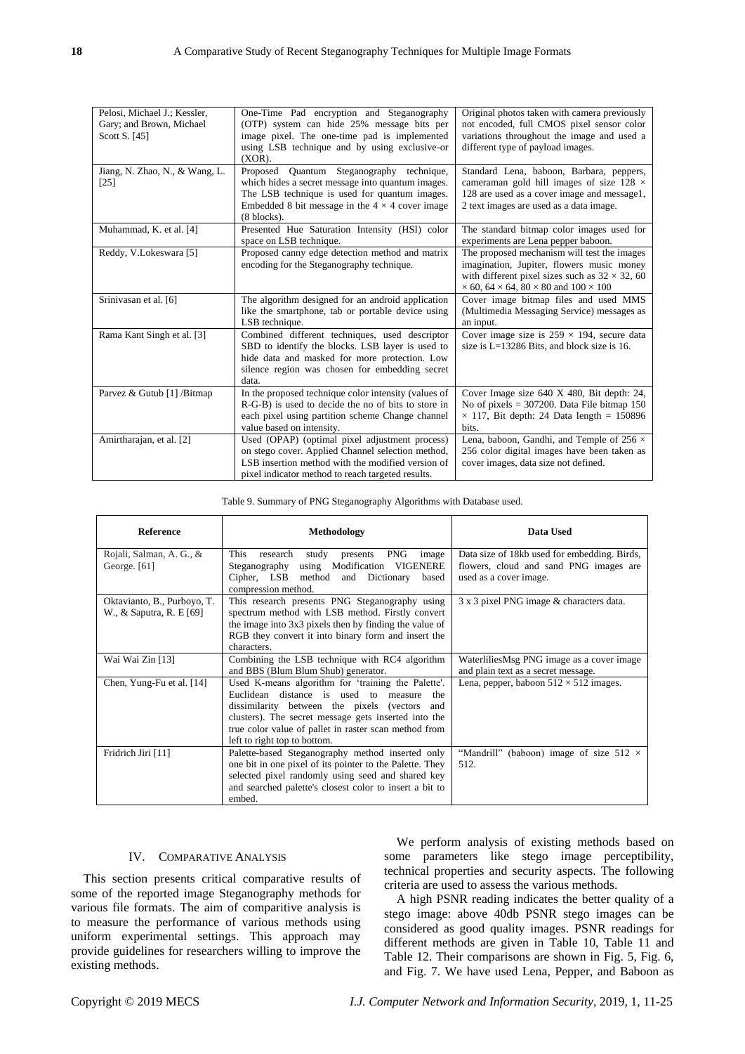| Pelosi, Michael J.; Kessler,<br>Gary; and Brown, Michael<br>Scott S. [45] | One-Time Pad encryption and Steganography<br>(OTP) system can hide 25% message bits per<br>image pixel. The one-time pad is implemented<br>using LSB technique and by using exclusive-or<br>$(XOR)$ .                               | Original photos taken with camera previously<br>not encoded, full CMOS pixel sensor color<br>variations throughout the image and used a<br>different type of payload images.                                           |
|---------------------------------------------------------------------------|-------------------------------------------------------------------------------------------------------------------------------------------------------------------------------------------------------------------------------------|------------------------------------------------------------------------------------------------------------------------------------------------------------------------------------------------------------------------|
| Jiang, N. Zhao, N., & Wang, L.<br>[25]                                    | Proposed Quantum Steganography technique,<br>which hides a secret message into quantum images.<br>The LSB technique is used for quantum images.<br>Embedded 8 bit message in the $4 \times 4$ cover image<br>$(8 \text{ blocks})$ . | Standard Lena, baboon, Barbara, peppers,<br>cameraman gold hill images of size 128 $\times$<br>128 are used as a cover image and message1,<br>2 text images are used as a data image.                                  |
| Muhammad, K. et al. [4]                                                   | Presented Hue Saturation Intensity (HSI) color<br>space on LSB technique.                                                                                                                                                           | The standard bitmap color images used for<br>experiments are Lena pepper baboon.                                                                                                                                       |
| Reddy, V.Lokeswara [5]                                                    | Proposed canny edge detection method and matrix<br>encoding for the Steganography technique.                                                                                                                                        | The proposed mechanism will test the images<br>imagination, Jupiter, flowers music money<br>with different pixel sizes such as $32 \times 32$ , 60<br>$\times$ 60, 64 $\times$ 64, 80 $\times$ 80 and 100 $\times$ 100 |
| Srinivasan et al. [6]                                                     | The algorithm designed for an android application<br>like the smartphone, tab or portable device using<br>LSB technique.                                                                                                            | Cover image bitmap files and used MMS<br>(Multimedia Messaging Service) messages as<br>an input.                                                                                                                       |
| Rama Kant Singh et al. [3]                                                | Combined different techniques, used descriptor<br>SBD to identify the blocks. LSB layer is used to<br>hide data and masked for more protection. Low<br>silence region was chosen for embedding secret<br>data.                      | Cover image size is $259 \times 194$ , secure data<br>size is $L=13286$ Bits, and block size is 16.                                                                                                                    |
| Parvez & Gutub [1] /Bitmap                                                | In the proposed technique color intensity (values of<br>R-G-B) is used to decide the no of bits to store in<br>each pixel using partition scheme Change channel<br>value based on intensity.                                        | Cover Image size 640 X 480, Bit depth: 24,<br>No of pixels $= 307200$ . Data File bitmap 150<br>$\times$ 117, Bit depth: 24 Data length = 150896<br>bits.                                                              |
| Amirtharajan, et al. [2]                                                  | Used (OPAP) (optimal pixel adjustment process)<br>on stego cover. Applied Channel selection method,<br>LSB insertion method with the modified version of<br>pixel indicator method to reach targeted results.                       | Lena, baboon, Gandhi, and Temple of 256 $\times$<br>256 color digital images have been taken as<br>cover images, data size not defined.                                                                                |

Table 9. Summary of PNG Steganography Algorithms with Database used.

| <b>Reference</b>            | <b>Methodology</b>                                                | Data Used                                      |
|-----------------------------|-------------------------------------------------------------------|------------------------------------------------|
| Rojali, Salman, A. G., &    | This<br>presents PNG<br>research<br>study<br>image                | Data size of 18kb used for embedding. Birds,   |
| George. $[61]$              | using Modification VIGENERE<br>Steganography                      | flowers, cloud and sand PNG images are         |
|                             | Cipher, LSB method and Dictionary<br>based<br>compression method. | used as a cover image.                         |
| Oktavianto, B., Purboyo, T. | This research presents PNG Steganography using                    | 3 x 3 pixel PNG image & characters data.       |
| W., & Saputra, R. E [69]    | spectrum method with LSB method. Firstly convert                  |                                                |
|                             | the image into 3x3 pixels then by finding the value of            |                                                |
|                             | RGB they convert it into binary form and insert the               |                                                |
|                             | characters.                                                       |                                                |
| Wai Wai Zin [13]            | Combining the LSB technique with RC4 algorithm                    | WaterliliesMsg PNG image as a cover image      |
|                             | and BBS (Blum Blum Shub) generator.                               | and plain text as a secret message.            |
| Chen, Yung-Fu et al. [14]   | Used K-means algorithm for 'training the Palette'.                | Lena, pepper, baboon $512 \times 512$ images.  |
|                             | Euclidean distance is used to measure the                         |                                                |
|                             | dissimilarity between the pixels (vectors and                     |                                                |
|                             | clusters). The secret message gets inserted into the              |                                                |
|                             | true color value of pallet in raster scan method from             |                                                |
|                             | left to right top to bottom.                                      |                                                |
| Fridrich Jiri [11]          | Palette-based Steganography method inserted only                  | "Mandrill" (baboon) image of size $512 \times$ |
|                             | one bit in one pixel of its pointer to the Palette. They          | 512.                                           |
|                             | selected pixel randomly using seed and shared key                 |                                                |
|                             | and searched palette's closest color to insert a bit to           |                                                |
|                             | embed.                                                            |                                                |

## IV. COMPARATIVE ANALYSIS

This section presents critical comparative results of some of the reported image Steganography methods for various file formats. The aim of comparitive analysis is to measure the performance of various methods using uniform experimental settings. This approach may provide guidelines for researchers willing to improve the existing methods.

We perform analysis of existing methods based on some parameters like stego image perceptibility, technical properties and security aspects. The following criteria are used to assess the various methods.

A high PSNR reading indicates the better quality of a stego image: above 40db PSNR stego images can be considered as good quality images. PSNR readings for different methods are given in Table 10, Table 11 and Table 12. Their comparisons are shown in Fig. 5, Fig. 6, and Fig. 7. We have used Lena, Pepper, and Baboon as

Copyright © 2019 MECS *I.J. Computer Network and Information Security*, 2019, 1, 11-25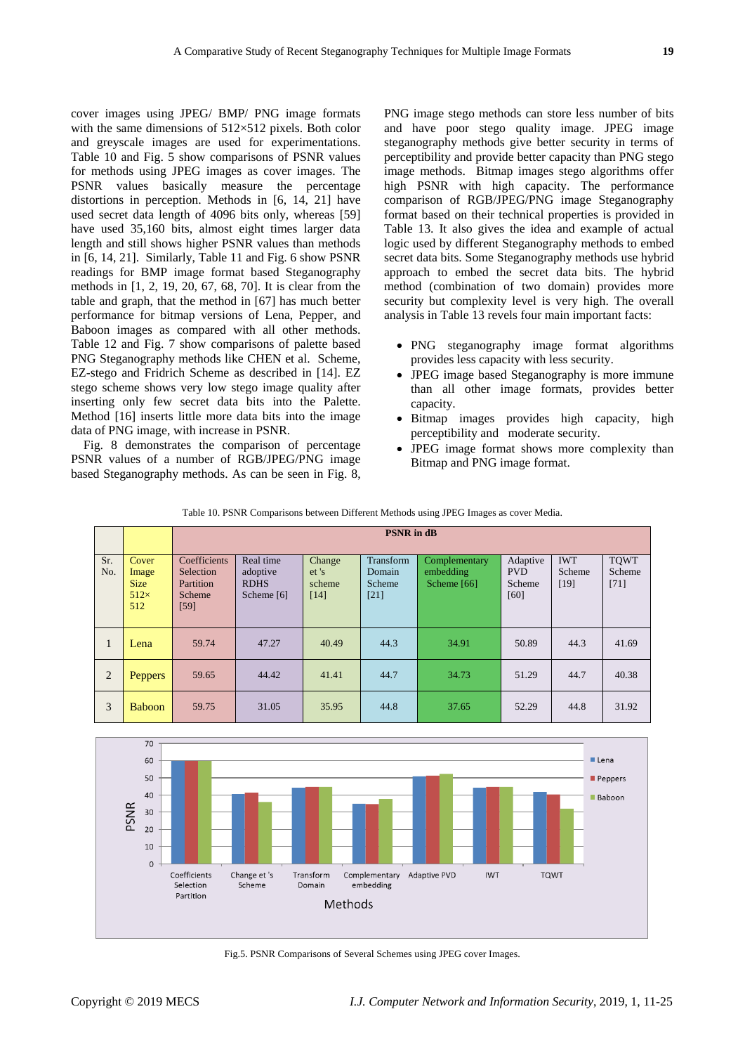cover images using JPEG/ BMP/ PNG image formats with the same dimensions of  $512\times512$  pixels. Both color and greyscale images are used for experimentations. Table 10 and Fig. 5 show comparisons of PSNR values for methods using JPEG images as cover images. The PSNR values basically measure the percentage distortions in perception. Methods in [6, 14, 21] have used secret data length of 4096 bits only, whereas [59] have used 35,160 bits, almost eight times larger data length and still shows higher PSNR values than methods in [6, 14, 21]. Similarly, Table 11 and Fig. 6 show PSNR readings for BMP image format based Steganography methods in [1, 2, 19, 20, 67, 68, 70]. It is clear from the table and graph, that the method in [67] has much better performance for bitmap versions of Lena, Pepper, and Baboon images as compared with all other methods. Table 12 and Fig. 7 show comparisons of palette based PNG Steganography methods like CHEN et al. Scheme, EZ-stego and Fridrich Scheme as described in [14]. EZ stego scheme shows very low stego image quality after inserting only few secret data bits into the Palette. Method [16] inserts little more data bits into the image data of PNG image, with increase in PSNR.

Fig. 8 demonstrates the comparison of percentage PSNR values of a number of RGB/JPEG/PNG image based Steganography methods. As can be seen in Fig. 8,

PNG image stego methods can store less number of bits and have poor stego quality image. JPEG image steganography methods give better security in terms of perceptibility and provide better capacity than PNG stego image methods. Bitmap images stego algorithms offer high PSNR with high capacity. The performance comparison of RGB/JPEG/PNG image Steganography format based on their technical properties is provided in Table 13. It also gives the idea and example of actual logic used by different Steganography methods to embed secret data bits. Some Steganography methods use hybrid approach to embed the secret data bits. The hybrid method (combination of two domain) provides more security but complexity level is very high. The overall analysis in Table 13 revels four main important facts:

- PNG steganography image format algorithms provides less capacity with less security.
- JPEG image based Steganography is more immune than all other image formats, provides better capacity.
- Bitmap images provides high capacity, high perceptibility and moderate security.
- JPEG image format shows more complexity than Bitmap and PNG image format.

|              |                                                     |                                                          | <b>PSNR</b> in dB                                    |                                    |                                         |                                           |                                          |                              |                                 |
|--------------|-----------------------------------------------------|----------------------------------------------------------|------------------------------------------------------|------------------------------------|-----------------------------------------|-------------------------------------------|------------------------------------------|------------------------------|---------------------------------|
| Sr.<br>No.   | Cover<br>Image<br><b>Size</b><br>$512\times$<br>512 | Coefficients<br>Selection<br>Partition<br>Scheme<br>[59] | Real time<br>adoptive<br><b>RDHS</b><br>Scheme $[6]$ | Change<br>et's<br>scheme<br>$[14]$ | Transform<br>Domain<br>Scheme<br>$[21]$ | Complementary<br>embedding<br>Scheme [66] | Adaptive<br><b>PVD</b><br>Scheme<br>[60] | <b>IWT</b><br>Scheme<br>[19] | <b>TOWT</b><br>Scheme<br>$[71]$ |
| $\mathbf{I}$ | Lena                                                | 59.74                                                    | 47.27                                                | 40.49                              | 44.3                                    | 34.91                                     | 50.89                                    | 44.3                         | 41.69                           |
| 2            | <b>Peppers</b>                                      | 59.65                                                    | 44.42                                                | 41.41                              | 44.7                                    | 34.73                                     | 51.29                                    | 44.7                         | 40.38                           |
| 3            | <b>Baboon</b>                                       | 59.75                                                    | 31.05                                                | 35.95                              | 44.8                                    | 37.65                                     | 52.29                                    | 44.8                         | 31.92                           |

Table 10. PSNR Comparisons between Different Methods using JPEG Images as cover Media.



Fig.5. PSNR Comparisons of Several Schemes using JPEG cover Images.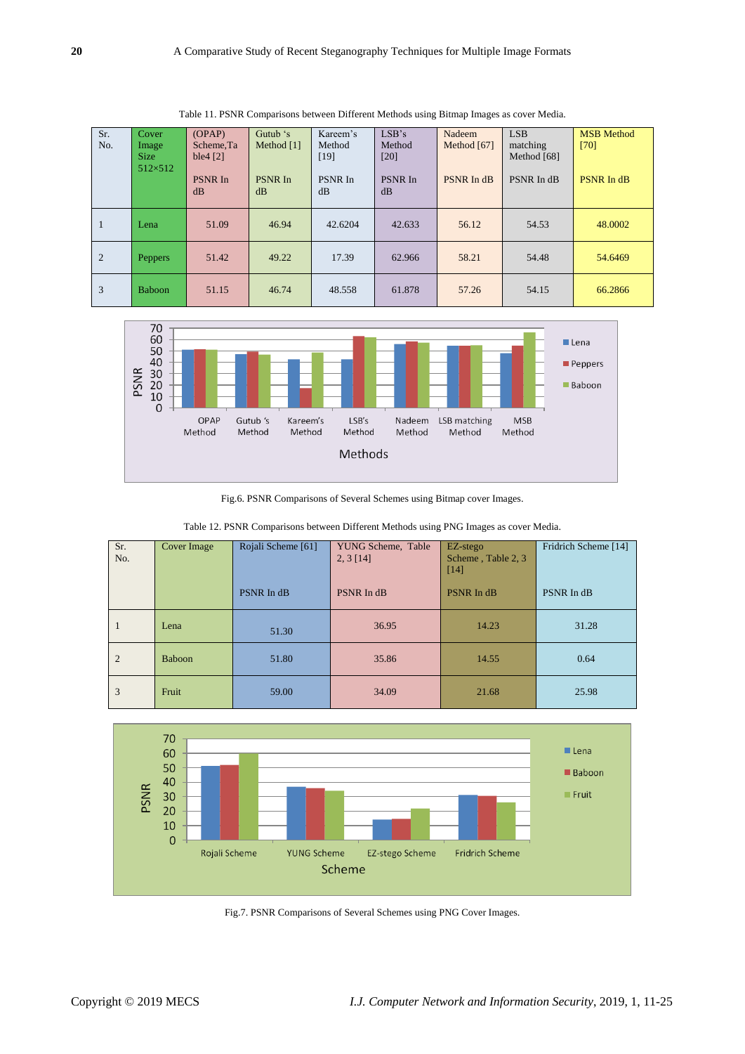| Sr.<br>No.     | <b>Cover</b><br>Image<br><b>Size</b><br>$512\times512$ | OPAP<br>Scheme.Ta<br>ble4 $[2]$<br><b>PSNR In</b><br>dB | Gutub 's<br>Method [1]<br><b>PSNR</b> In<br>dB | Kareem's<br>Method<br>[19]<br>PSNR In<br>dB | LSB's<br>Method<br>[20]<br>PSNR In<br>dB | Nadeem<br>Method [67]<br>PSNR In dB | <b>LSB</b><br>matching<br>Method [68]<br>PSNR In dB | <b>MSB</b> Method<br>[70]<br><b>PSNR</b> In dB |
|----------------|--------------------------------------------------------|---------------------------------------------------------|------------------------------------------------|---------------------------------------------|------------------------------------------|-------------------------------------|-----------------------------------------------------|------------------------------------------------|
| 1              | Lena                                                   | 51.09                                                   | 46.94                                          | 42.6204                                     | 42.633                                   | 56.12                               | 54.53                                               | 48,0002                                        |
| $\overline{2}$ | <b>Peppers</b>                                         | 51.42                                                   | 49.22                                          | 17.39                                       | 62.966                                   | 58.21                               | 54.48                                               | 54.6469                                        |
| 3              | <b>Baboon</b>                                          | 51.15                                                   | 46.74                                          | 48.558                                      | 61.878                                   | 57.26                               | 54.15                                               | 66.2866                                        |

Table 11. PSNR Comparisons between Different Methods using Bitmap Images as cover Media.



Fig.6. PSNR Comparisons of Several Schemes using Bitmap cover Images.

| Table 12. PSNR Comparisons between Different Methods using PNG Images as cover Media. |  |
|---------------------------------------------------------------------------------------|--|
|---------------------------------------------------------------------------------------|--|

| Sr.<br>No.     | Cover Image | Rojali Scheme [61] | YUNG Scheme, Table<br>2, 3[14] | EZ-stego<br>Scheme, Table 2, 3<br>[14] | Fridrich Scheme [14] |
|----------------|-------------|--------------------|--------------------------------|----------------------------------------|----------------------|
|                |             | PSNR In dB         | PSNR In dB                     | <b>PSNR In dB</b>                      | PSNR In dB           |
| -1             | Lena        | 51.30              | 36.95                          | 14.23                                  | 31.28                |
| $\overline{2}$ | Baboon      | 51.80              | 35.86                          | 14.55                                  | 0.64                 |
| 3              | Fruit       | 59.00              | 34.09                          | 21.68                                  | 25.98                |



Fig.7. PSNR Comparisons of Several Schemes using PNG Cover Images.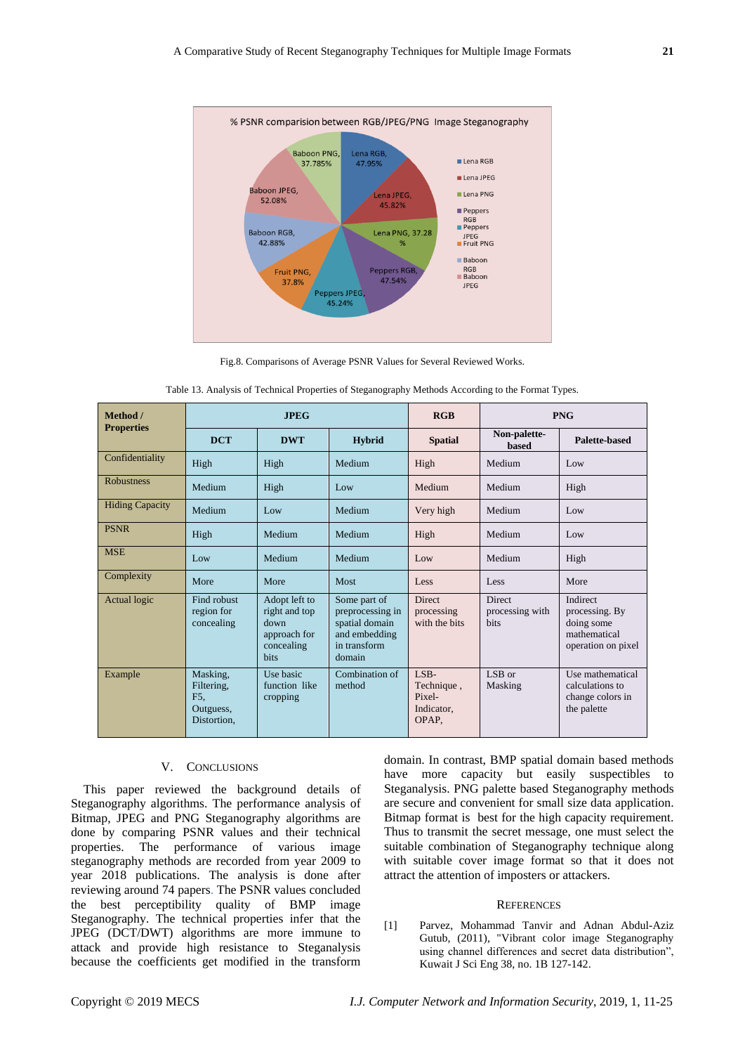

Fig.8. Comparisons of Average PSNR Values for Several Reviewed Works.

| Method /               | <b>JPEG</b>                                               |                                                                              |                                                                                               | RGB                                                 |                                                 | <b>PNG</b>                                                                     |
|------------------------|-----------------------------------------------------------|------------------------------------------------------------------------------|-----------------------------------------------------------------------------------------------|-----------------------------------------------------|-------------------------------------------------|--------------------------------------------------------------------------------|
| <b>Properties</b>      | <b>DCT</b>                                                | <b>DWT</b>                                                                   | <b>Hybrid</b>                                                                                 | <b>Spatial</b>                                      | Non-palette-<br><b>based</b>                    | Palette-based                                                                  |
| Confidentiality        | High                                                      | High                                                                         | Medium                                                                                        | High                                                | Medium                                          | Low                                                                            |
| <b>Robustness</b>      | Medium                                                    | High                                                                         | Low                                                                                           | Medium                                              | Medium                                          | High                                                                           |
| <b>Hiding Capacity</b> | Medium                                                    | Low                                                                          | Medium                                                                                        | Very high                                           | Medium                                          | Low                                                                            |
| <b>PSNR</b>            | High                                                      | Medium                                                                       | Medium                                                                                        | High                                                | Medium                                          | Low                                                                            |
| <b>MSE</b>             | Low                                                       | Medium                                                                       | Medium                                                                                        | Low                                                 | Medium                                          | High                                                                           |
| Complexity             | More                                                      | More                                                                         | <b>Most</b>                                                                                   | Less                                                | Less                                            | More                                                                           |
| <b>Actual logic</b>    | Find robust<br>region for<br>concealing                   | Adopt left to<br>right and top<br>down<br>approach for<br>concealing<br>bits | Some part of<br>preprocessing in<br>spatial domain<br>and embedding<br>in transform<br>domain | <b>Direct</b><br>processing<br>with the bits        | <b>Direct</b><br>processing with<br><b>bits</b> | Indirect<br>processing. By<br>doing some<br>mathematical<br>operation on pixel |
| Example                | Masking,<br>Filtering,<br>F5.<br>Outguess,<br>Distortion. | Use basic<br>function like<br>cropping                                       | Combination of<br>method                                                                      | LSB-<br>Technique,<br>Pixel-<br>Indicator.<br>OPAP. | LSB or<br>Masking                               | Use mathematical<br>calculations to<br>change colors in<br>the palette         |

|  | Table 13. Analysis of Technical Properties of Steganography Methods According to the Format Types. |  |
|--|----------------------------------------------------------------------------------------------------|--|
|  |                                                                                                    |  |

## V. CONCLUSIONS

This paper reviewed the background details of Steganography algorithms. The performance analysis of Bitmap, JPEG and PNG Steganography algorithms are done by comparing PSNR values and their technical properties. The performance of various image steganography methods are recorded from year 2009 to year 2018 publications. The analysis is done after reviewing around 74 papers. The PSNR values concluded the best perceptibility quality of BMP image Steganography. The technical properties infer that the JPEG (DCT/DWT) algorithms are more immune to attack and provide high resistance to Steganalysis because the coefficients get modified in the transform domain. In contrast, BMP spatial domain based methods have more capacity but easily suspectibles to Steganalysis. PNG palette based Steganography methods are secure and convenient for small size data application. Bitmap format is best for the high capacity requirement. Thus to transmit the secret message, one must select the suitable combination of Steganography technique along with suitable cover image format so that it does not attract the attention of imposters or attackers.

#### **REFERENCES**

[1] Parvez, Mohammad Tanvir and Adnan Abdul-Aziz Gutub, (2011), "Vibrant color image Steganography using channel differences and secret data distribution", Kuwait J Sci Eng 38, no. 1B 127-142.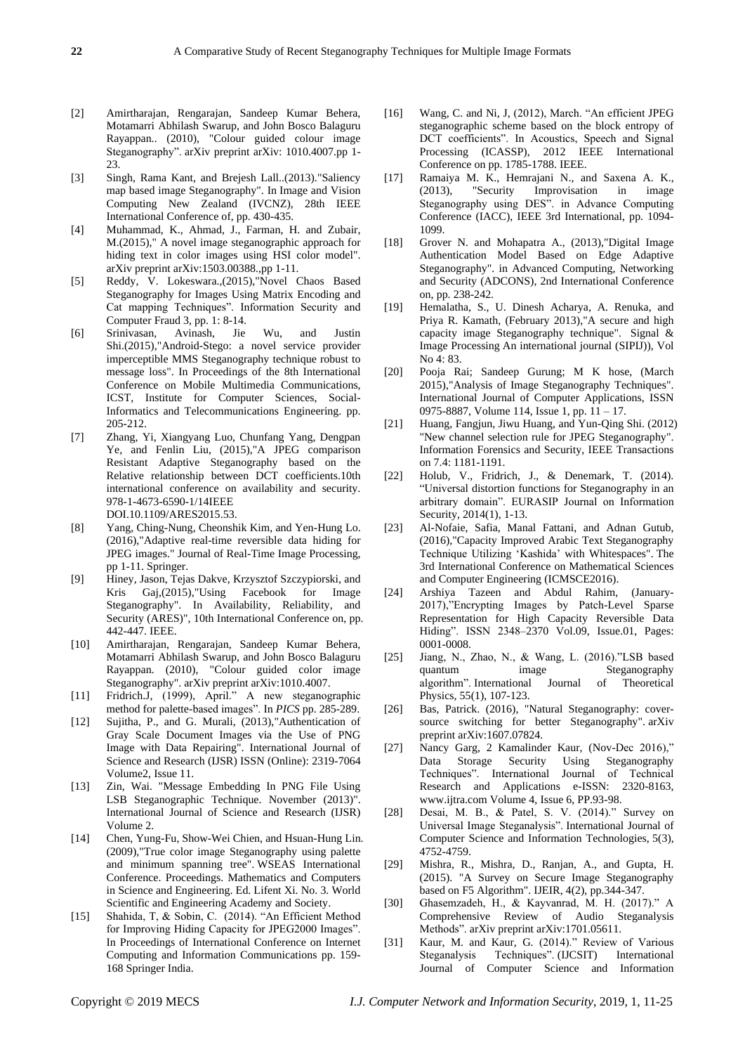- [2] Amirtharajan, Rengarajan, Sandeep Kumar Behera, Motamarri Abhilash Swarup, and John Bosco Balaguru Rayappan.. (2010), "Colour guided colour image Steganography". arXiv preprint arXiv: 1010.4007.pp 1- 23.
- [3] Singh, Rama Kant, and Brejesh Lall..(2013)."Saliency map based image Steganography". In Image and Vision Computing New Zealand (IVCNZ), 28th IEEE International Conference of, pp. 430-435.
- [4] Muhammad, K., Ahmad, J., Farman, H. and Zubair, M.(2015)," A novel image steganographic approach for hiding text in color images using HSI color model". arXiv preprint arXiv:1503.00388.,pp 1-11.
- [5] Reddy, V. Lokeswara.,(2015),"Novel Chaos Based Steganography for Images Using Matrix Encoding and Cat mapping Techniques". Information Security and Computer Fraud 3, pp. 1: 8-14.
- [6] Srinivasan, Avinash, Jie Wu, and Justin Shi.(2015),"Android-Stego: a novel service provider imperceptible MMS Steganography technique robust to message loss". In Proceedings of the 8th International Conference on Mobile Multimedia Communications, ICST, Institute for Computer Sciences, Social-Informatics and Telecommunications Engineering. pp. 205-212.
- [7] Zhang, Yi, Xiangyang Luo, Chunfang Yang, Dengpan Ye, and Fenlin Liu, (2015),"A JPEG comparison Resistant Adaptive Steganography based on the Relative relationship between DCT coefficients.10th international conference on availability and security. 978-1-4673-6590-1/14IEEE DOI.10.1109/ARES2015.53.
- [8] Yang, Ching-Nung, Cheonshik Kim, and Yen-Hung Lo. (2016),"Adaptive real-time reversible data hiding for JPEG images." Journal of Real-Time Image Processing, pp 1-11. Springer.
- [9] Hiney, Jason, Tejas Dakve, Krzysztof Szczypiorski, and Kris Gaj,(2015),"Using Facebook for Image Steganography". In Availability, Reliability, and Security (ARES)", 10th International Conference on, pp. 442-447. IEEE.
- [10] Amirtharajan, Rengarajan, Sandeep Kumar Behera, Motamarri Abhilash Swarup, and John Bosco Balaguru Rayappan. (2010), "Colour guided color image Steganography". arXiv preprint arXiv:1010.4007.
- [11] Fridrich.J, (1999), April." A new steganographic method for palette-based images". In *PICS* pp. 285-289.
- [12] Sujitha, P., and G. Murali, (2013),"Authentication of Gray Scale Document Images via the Use of PNG Image with Data Repairing". International Journal of Science and Research (IJSR) ISSN (Online): 2319-7064 Volume2, Issue 11.
- [13] Zin, Wai. "Message Embedding In PNG File Using LSB Steganographic Technique. November (2013)". International Journal of Science and Research (IJSR) Volume 2.
- [14] Chen, Yung-Fu, Show-Wei Chien, and Hsuan-Hung Lin. (2009),"True color image Steganography using palette and minimum spanning tree". WSEAS International Conference. Proceedings. Mathematics and Computers in Science and Engineering. Ed. Lifent Xi. No. 3. World Scientific and Engineering Academy and Society.
- [15] Shahida, T, & Sobin, C. (2014). "An Efficient Method for Improving Hiding Capacity for JPEG2000 Images". In Proceedings of International Conference on Internet Computing and Information Communications pp. 159- 168 Springer India.
- [16] Wang, C. and Ni, J, (2012), March. "An efficient JPEG steganographic scheme based on the block entropy of DCT coefficients". In Acoustics, Speech and Signal Processing (ICASSP), 2012 IEEE International Conference on pp. 1785-1788. IEEE.
- [17] Ramaiya M. K., Hemrajani N., and Saxena A. K., (2013), "Security Improvisation in image Steganography using DES". in Advance Computing Conference (IACC), IEEE 3rd International, pp. 1094- 1099.
- [18] Grover N. and Mohapatra A., (2013), "Digital Image Authentication Model Based on Edge Adaptive Steganography". in Advanced Computing, Networking and Security (ADCONS), 2nd International Conference on, pp. 238-242.
- [19] Hemalatha, S., U. Dinesh Acharya, A. Renuka, and Priya R. Kamath, (February 2013),"A secure and high capacity image Steganography technique". Signal & Image Processing An international journal (SIPIJ)), Vol No 4: 83.
- [20] Pooja Rai; Sandeep Gurung; M K hose, (March 2015),"Analysis of Image Steganography Techniques". International Journal of Computer Applications, ISSN 0975-8887, Volume 114, Issue 1, pp. 11 – 17.
- [21] Huang, Fangjun, Jiwu Huang, and Yun-Qing Shi. (2012) "New channel selection rule for JPEG Steganography". Information Forensics and Security, IEEE Transactions on 7.4: 1181-1191.
- [22] Holub, V., Fridrich, J., & Denemark, T. (2014). "Universal distortion functions for Steganography in an arbitrary domain". EURASIP Journal on Information Security, 2014(1), 1-13.
- [23] Al-Nofaie, Safia, Manal Fattani, and Adnan Gutub, (2016),"Capacity Improved Arabic Text Steganography Technique Utilizing 'Kashida' with Whitespaces". The 3rd International Conference on Mathematical Sciences and Computer Engineering (ICMSCE2016).
- [24] Arshiya Tazeen and Abdul Rahim, (January-2017),"Encrypting Images by Patch-Level Sparse Representation for High Capacity Reversible Data Hiding". ISSN 2348–2370 Vol.09, Issue.01, Pages: 0001-0008.
- [25] Jiang, N., Zhao, N., & Wang, L. (2016)."LSB based quantum image Steganography algorithm". International Journal of Theoretical Physics, 55(1), 107-123.
- [26] Bas, Patrick. (2016), "Natural Steganography: coversource switching for better Steganography". arXiv preprint arXiv:1607.07824.
- [27] Nancy Garg, 2 Kamalinder Kaur, (Nov-Dec 2016)," Data Storage Security Using Steganography Techniques". International Journal of Technical Research and Applications e-ISSN: 2320-8163, www.ijtra.com Volume 4, Issue 6, PP.93-98.
- [28] Desai, M. B., & Patel, S. V. (2014)." Survey on Universal Image Steganalysis". International Journal of Computer Science and Information Technologies, 5(3), 4752-4759.
- [29] Mishra, R., Mishra, D., Ranjan, A., and Gupta, H. (2015). "A Survey on Secure Image Steganography based on F5 Algorithm". IJEIR, 4(2), pp.344-347.
- [30] Ghasemzadeh, H., & Kayvanrad, M. H. (2017)." A Comprehensive Review of Audio Steganalysis Methods". arXiv preprint arXiv:1701.05611.
- [31] Kaur, M. and Kaur, G. (2014)." Review of Various Steganalysis Techniques". (IJCSIT) International Journal of Computer Science and Information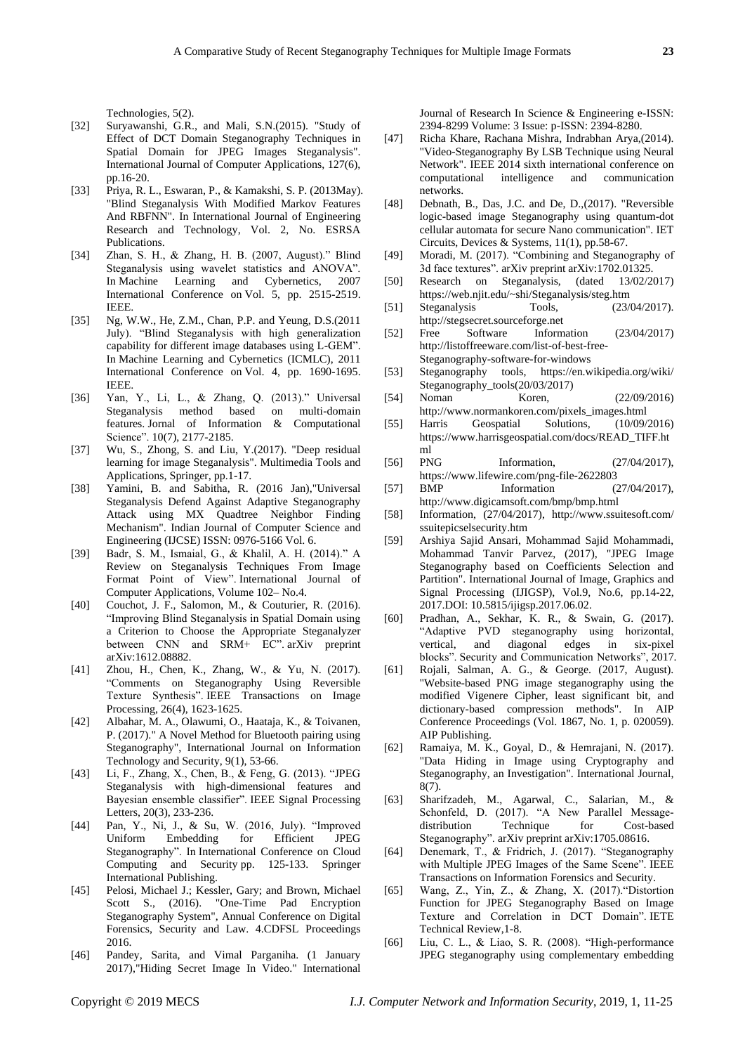Technologies, 5(2).

- [32] Suryawanshi, G.R., and Mali, S.N.(2015). "Study of Effect of DCT Domain Steganography Techniques in Spatial Domain for JPEG Images Steganalysis". International Journal of Computer Applications, 127(6), pp.16-20.
- [33] Priya, R. L., Eswaran, P., & Kamakshi, S. P. (2013May). "Blind Steganalysis With Modified Markov Features And RBFNN". In International Journal of Engineering Research and Technology, Vol. 2, No. ESRSA Publications.
- [34] Zhan, S. H., & Zhang, H. B. (2007, August)." Blind Steganalysis using wavelet statistics and ANOVA". In Machine Learning and Cybernetics, 2007 International Conference on Vol. 5, pp. 2515-2519. IEEE.
- [35] Ng, W.W., He, Z.M., Chan, P.P. and Yeung, D.S.(2011 July). "Blind Steganalysis with high generalization capability for different image databases using L-GEM". In Machine Learning and Cybernetics (ICMLC), 2011 International Conference on Vol. 4, pp. 1690-1695. IEEE.
- [36] Yan, Y., Li, L., & Zhang, Q. (2013)." Universal Steganalysis method based on multi-domain features. Jornal of Information & Computational Science". 10(7), 2177-2185.
- [37] Wu, S., Zhong, S. and Liu, Y.(2017). "Deep residual learning for image Steganalysis". Multimedia Tools and Applications, Springer, pp.1-17.
- [38] Yamini, B. and Sabitha, R. (2016 Jan),"Universal Steganalysis Defend Against Adaptive Steganography Attack using MX Quadtree Neighbor Finding Mechanism". Indian Journal of Computer Science and Engineering (IJCSE) ISSN: 0976-5166 Vol. 6.
- [39] Badr, S. M., Ismaial, G., & Khalil, A. H. (2014)." A Review on Steganalysis Techniques From Image Format Point of View". International Journal of Computer Applications, Volume 102– No.4.
- [40] Couchot, J. F., Salomon, M., & Couturier, R. (2016). "Improving Blind Steganalysis in Spatial Domain using a Criterion to Choose the Appropriate Steganalyzer between CNN and SRM+ EC" arXiv preprint arXiv:1612.08882.
- [41] Zhou, H., Chen, K., Zhang, W., & Yu, N. (2017). "Comments on Steganography Using Reversible Texture Synthesis". IEEE Transactions on Image Processing, 26(4), 1623-1625.
- [42] Albahar, M. A., Olawumi, O., Haataja, K., & Toivanen, P. (2017)." A Novel Method for Bluetooth pairing using Steganography", International Journal on Information Technology and Security, 9(1), 53-66.
- [43] Li, F., Zhang, X., Chen, B., & Feng, G. (2013). "JPEG Steganalysis with high-dimensional features and Bayesian ensemble classifier". IEEE Signal Processing Letters, 20(3), 233-236.
- [44] Pan, Y., Ni, J., & Su, W. (2016, July). "Improved Uniform Embedding for Efficient JPEG Steganography". In International Conference on Cloud Computing and Security pp. 125-133. Springer International Publishing.
- [45] Pelosi, Michael J.; Kessler, Gary; and Brown, Michael Scott S., (2016). "One-Time Pad Encryption Steganography System", Annual Conference on Digital Forensics, Security and Law. 4.CDFSL Proceedings 2016.
- [46] Pandey, Sarita, and Vimal Parganiha. (1 January 2017),"Hiding Secret Image In Video." International

Journal of Research In Science & Engineering e-ISSN: 2394-8299 Volume: 3 Issue: p-ISSN: 2394-8280.

- [47] Richa Khare, Rachana Mishra, Indrabhan Arya,(2014). "Video-Steganography By LSB Technique using Neural Network". IEEE 2014 sixth international conference on computational intelligence and communication networks.
- [48] Debnath, B., Das, J.C. and De, D.,(2017). "Reversible logic-based image Steganography using quantum-dot cellular automata for secure Nano communication". IET Circuits, Devices & Systems, 11(1), pp.58-67.
- [49] Moradi, M. (2017). "Combining and Steganography of 3d face textures". arXiv preprint arXiv:1702.01325.
- [50] Research on Steganalysis, (dated 13/02/2017) https://web.njit.edu/~shi/Steganalysis/steg.htm
- [51] Steganalysis Tools, (23/04/2017). http://stegsecret.sourceforge.net
- [52] Free Software Information (23/04/2017) http://listoffreeware.com/list-of-best-free-Steganography-software-for-windows
- [53] Steganography tools, https://en.wikipedia.org/wiki/ Steganography\_tools(20/03/2017)
- [54] Noman Koren, (22/09/2016) http://www.normankoren.com/pixels\_images.html
- [55] Harris Geospatial Solutions, (10/09/2016) https://www.harrisgeospatial.com/docs/READ\_TIFF.ht ml
- [56] PNG Information, (27/04/2017), https://www.lifewire.com/png-file-2622803
- [57] BMP Information (27/04/2017), http://www.digicamsoft.com/bmp/bmp.html
- [58] Information, (27/04/2017), http://www.ssuitesoft.com/ ssuitepicselsecurity.htm
- [59] Arshiya Sajid Ansari, Mohammad Sajid Mohammadi, Mohammad Tanvir Parvez, (2017), "JPEG Image Steganography based on Coefficients Selection and Partition". International Journal of Image, Graphics and Signal Processing (IJIGSP), Vol.9, No.6, pp.14-22, 2017.DOI: 10.5815/ijigsp.2017.06.02.
- [60] Pradhan, A., Sekhar, K. R., & Swain, G. (2017). "Adaptive PVD steganography using horizontal, vertical, and diagonal edges in six-pixel blocks". Security and Communication Networks", 2017.
- [61] Rojali, Salman, A. G., & George. (2017, August). "Website-based PNG image steganography using the modified Vigenere Cipher, least significant bit, and dictionary-based compression methods". In AIP Conference Proceedings (Vol. 1867, No. 1, p. 020059). AIP Publishing.
- [62] Ramaiya, M. K., Goyal, D., & Hemrajani, N. (2017). "Data Hiding in Image using Cryptography and Steganography, an Investigation". International Journal, 8(7).
- [63] Sharifzadeh, M., Agarwal, C., Salarian, M., & Schonfeld, D. (2017). "A New Parallel Messagedistribution Technique for Cost-based Steganography". arXiv preprint arXiv:1705.08616.
- [64] Denemark, T., & Fridrich, J. (2017). "Steganography with Multiple JPEG Images of the Same Scene". IEEE Transactions on Information Forensics and Security.
- [65] Wang, Z., Yin, Z., & Zhang, X. (2017)."Distortion Function for JPEG Steganography Based on Image Texture and Correlation in DCT Domain". IETE Technical Review,1-8.
- [66] Liu, C. L., & Liao, S. R. (2008). "High-performance JPEG steganography using complementary embedding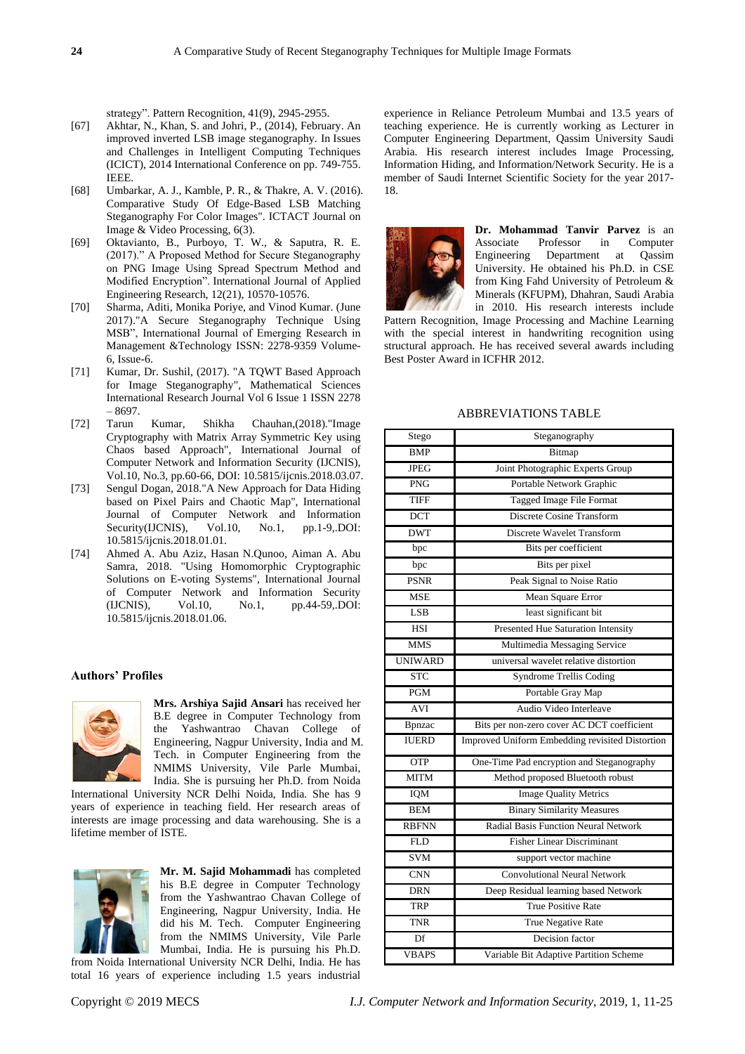strategy". Pattern Recognition, 41(9), 2945-2955.

- [67] Akhtar, N., Khan, S. and Johri, P., (2014), February. An improved inverted LSB image steganography. In Issues and Challenges in Intelligent Computing Techniques (ICICT), 2014 International Conference on pp. 749-755. IEEE.
- [68] Umbarkar, A. J., Kamble, P. R., & Thakre, A. V. (2016). Comparative Study Of Edge-Based LSB Matching Steganography For Color Images". ICTACT Journal on Image & Video Processing, 6(3).
- [69] Oktavianto, B., Purboyo, T. W., & Saputra, R. E. (2017)." A Proposed Method for Secure Steganography on PNG Image Using Spread Spectrum Method and Modified Encryption". International Journal of Applied Engineering Research, 12(21), 10570-10576.
- [70] Sharma, Aditi, Monika Poriye, and Vinod Kumar. (June 2017)."A Secure Steganography Technique Using MSB", International Journal of Emerging Research in Management &Technology ISSN: 2278-9359 Volume-6, Issue-6.
- [71] Kumar, Dr. Sushil, (2017). "A TQWT Based Approach for Image Steganography", Mathematical Sciences International Research Journal Vol 6 Issue 1 ISSN 2278 – 8697.
- [72] Tarun Kumar, Shikha Chauhan,(2018)."Image Cryptography with Matrix Array Symmetric Key using Chaos based Approach", International Journal of Computer Network and Information Security (IJCNIS), Vol.10, No.3, pp.60-66, DOI: 10.5815/ijcnis.2018.03.07.
- [73] Sengul Dogan, 2018."A New Approach for Data Hiding based on Pixel Pairs and Chaotic Map", International Journal of Computer Network and Information Security(IJCNIS), Vol.10, No.1, pp.1-9,.DOI: 10.5815/ijcnis.2018.01.01.
- [74] Ahmed A. Abu Aziz, Hasan N.Qunoo, Aiman A. Abu Samra, 2018. "Using Homomorphic Cryptographic Solutions on E-voting Systems", International Journal of Computer Network and Information Security<br>(IJCNIS), Vol.10, No.1, pp.44-59..DOI: (IJCNIS), Vol.10, No.1, pp.44-59,.DOI: 10.5815/ijcnis.2018.01.06.

#### **Authors' Profiles**



**Mrs. Arshiya Sajid Ansari** has received her B.E degree in Computer Technology from the Yashwantrao Chavan College of Engineering, Nagpur University, India and M. Tech. in Computer Engineering from the NMIMS University, Vile Parle Mumbai, India. She is pursuing her Ph.D. from Noida

International University NCR Delhi Noida, India. She has 9 years of experience in teaching field. Her research areas of interests are image processing and data warehousing. She is a lifetime member of ISTE.



**Mr. M. Sajid Mohammadi** has completed his B.E degree in Computer Technology from the Yashwantrao Chavan College of Engineering, Nagpur University, India. He did his M. Tech. Computer Engineering from the NMIMS University, Vile Parle Mumbai, India. He is pursuing his Ph.D. from Noida International University NCR Delhi, India. He has

total 16 years of experience including 1.5 years industrial

experience in Reliance Petroleum Mumbai and 13.5 years of teaching experience. He is currently working as Lecturer in Computer Engineering Department, Qassim University Saudi Arabia. His research interest includes Image Processing, Information Hiding, and Information/Network Security. He is a member of Saudi Internet Scientific Society for the year 2017- 18.



**Dr. Mohammad Tanvir Parvez** is an Associate Professor in Computer Engineering Department at Qassim University. He obtained his Ph.D. in CSE from King Fahd University of Petroleum & Minerals (KFUPM), Dhahran, Saudi Arabia in 2010. His research interests include

Pattern Recognition, Image Processing and Machine Learning with the special interest in handwriting recognition using structural approach. He has received several awards including Best Poster Award in ICFHR 2012.

#### ABBREVIATIONS TABLE

| Stego                   | Steganography                                   |  |  |
|-------------------------|-------------------------------------------------|--|--|
| <b>BMP</b>              | Bitmap                                          |  |  |
| <b>JPEG</b>             | Joint Photographic Experts Group                |  |  |
| $\overline{\text{PNG}}$ | Portable Network Graphic                        |  |  |
| <b>TIFF</b>             | Tagged Image File Format                        |  |  |
| <b>DCT</b>              | Discrete Cosine Transform                       |  |  |
| <b>DWT</b>              | <b>Discrete Wavelet Transform</b>               |  |  |
| bpc                     | Bits per coefficient                            |  |  |
| bpc                     | Bits per pixel                                  |  |  |
| <b>PSNR</b>             | Peak Signal to Noise Ratio                      |  |  |
| <b>MSE</b>              | Mean Square Error                               |  |  |
| <b>LSB</b>              | least significant bit                           |  |  |
| <b>HSI</b>              | Presented Hue Saturation Intensity              |  |  |
| <b>MMS</b>              | Multimedia Messaging Service                    |  |  |
| <b>UNIWARD</b>          | universal wavelet relative distortion           |  |  |
| <b>STC</b>              | <b>Syndrome Trellis Coding</b>                  |  |  |
| <b>PGM</b>              | Portable Gray Map                               |  |  |
| <b>AVI</b>              | Audio Video Interleave                          |  |  |
| <b>B</b> pnzac          | Bits per non-zero cover AC DCT coefficient      |  |  |
| <b>IUERD</b>            | Improved Uniform Embedding revisited Distortion |  |  |
| OTP                     | One-Time Pad encryption and Steganography       |  |  |
| <b>MITM</b>             | Method proposed Bluetooth robust                |  |  |
| <b>IQM</b>              | <b>Image Quality Metrics</b>                    |  |  |
| <b>BEM</b>              | <b>Binary Similarity Measures</b>               |  |  |
| <b>RBFNN</b>            | Radial Basis Function Neural Network            |  |  |
| <b>FLD</b>              | <b>Fisher Linear Discriminant</b>               |  |  |
| <b>SVM</b>              | support vector machine                          |  |  |
| <b>CNN</b>              | <b>Convolutional Neural Network</b>             |  |  |
| <b>DRN</b>              | Deep Residual learning based Network            |  |  |
| <b>TRP</b>              | <b>True Positive Rate</b>                       |  |  |
| <b>TNR</b>              | True Negative Rate                              |  |  |
| Df                      | Decision factor                                 |  |  |
| <b>VBAPS</b>            | Variable Bit Adaptive Partition Scheme          |  |  |